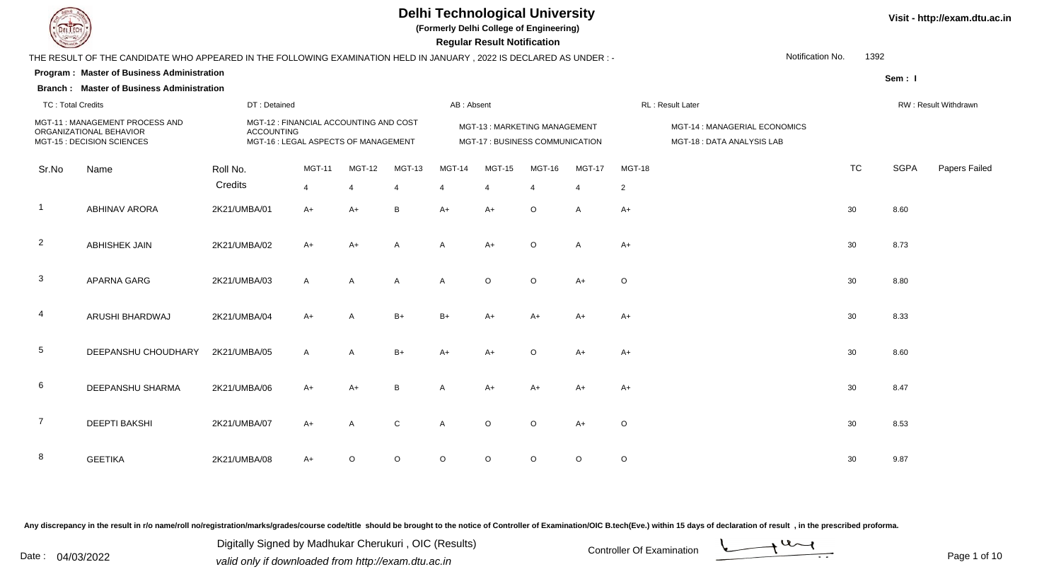

**(Formerly Delhi College of Engineering)**

 **Regular Result Notification**

| <b>Course Lines</b>      |                                                                                                                     |              |                                                                                                     |                |               |                |               | Regular Result Notification                                     |               |                |                |                                                            |           |             |                      |
|--------------------------|---------------------------------------------------------------------------------------------------------------------|--------------|-----------------------------------------------------------------------------------------------------|----------------|---------------|----------------|---------------|-----------------------------------------------------------------|---------------|----------------|----------------|------------------------------------------------------------|-----------|-------------|----------------------|
|                          | THE RESULT OF THE CANDIDATE WHO APPEARED IN THE FOLLOWING EXAMINATION HELD IN JANUARY, 2022 IS DECLARED AS UNDER :- |              |                                                                                                     |                |               |                |               |                                                                 |               |                |                | Notification No.                                           | 1392      |             |                      |
|                          | <b>Program: Master of Business Administration</b>                                                                   |              |                                                                                                     |                |               |                |               |                                                                 |               |                |                |                                                            |           | Sem: I      |                      |
|                          | <b>Branch: Master of Business Administration</b>                                                                    |              |                                                                                                     |                |               |                |               |                                                                 |               |                |                |                                                            |           |             |                      |
| <b>TC: Total Credits</b> |                                                                                                                     |              | DT: Detained                                                                                        |                |               |                | AB: Absent    |                                                                 |               |                |                | RL: Result Later                                           |           |             | RW: Result Withdrawn |
|                          | MGT-11: MANAGEMENT PROCESS AND<br>ORGANIZATIONAL BEHAVIOR<br>MGT-15 : DECISION SCIENCES                             |              | MGT-12 : FINANCIAL ACCOUNTING AND COST<br><b>ACCOUNTING</b><br>MGT-16 : LEGAL ASPECTS OF MANAGEMENT |                |               |                |               | MGT-13: MARKETING MANAGEMENT<br>MGT-17 : BUSINESS COMMUNICATION |               |                |                | MGT-14 : MANAGERIAL ECONOMICS<br>MGT-18: DATA ANALYSIS LAB |           |             |                      |
| Sr.No                    | Name                                                                                                                | Roll No.     |                                                                                                     | <b>MGT-11</b>  | <b>MGT-12</b> | MGT-13         | <b>MGT-14</b> | MGT-15                                                          | <b>MGT-16</b> | <b>MGT-17</b>  | <b>MGT-18</b>  |                                                            | <b>TC</b> | <b>SGPA</b> | Papers Failec        |
|                          |                                                                                                                     | Credits      |                                                                                                     | $\overline{4}$ |               | $\overline{4}$ | 4             | $\overline{4}$                                                  |               | $\overline{4}$ | $\overline{c}$ |                                                            |           |             |                      |
| $\overline{\mathbf{1}}$  | <b>ABHINAV ARORA</b>                                                                                                | 2K21/UMBA/01 |                                                                                                     | $A+$           | $A+$          | В              | $A+$          | $A+$                                                            | $\circ$       | $\mathsf{A}$   | $A+$           |                                                            | 30        | 8.60        |                      |
| $\overline{2}$           | <b>ABHISHEK JAIN</b>                                                                                                | 2K21/UMBA/02 |                                                                                                     | A+             | A+            | A              | A             | $A+$                                                            | O             | $\overline{A}$ | $A+$           |                                                            | 30        | 8.73        |                      |
| $\mathbf{3}$             | APARNA GARG                                                                                                         | 2K21/UMBA/03 |                                                                                                     | $\mathsf{A}$   | A             | A              | Α             | $\circ$                                                         | $\circ$       | $A+$           | $\circ$        |                                                            | 30        | 8.80        |                      |
| $\overline{4}$           | ARUSHI BHARDWAJ                                                                                                     | 2K21/UMBA/04 |                                                                                                     | $A+$           | A             | $B+$           | $B+$          | $A+$                                                            | $A+$          | $A+$           | $A+$           |                                                            | 30        | 8.33        |                      |
| $5\phantom{.0}$          | DEEPANSHU CHOUDHARY                                                                                                 | 2K21/UMBA/05 |                                                                                                     | $\mathsf{A}$   | $\mathsf{A}$  | $B+$           | $A+$          | $A+$                                                            | $\circ$       | $A+$           | $A+$           |                                                            | 30        | 8.60        |                      |
| 6                        | DEEPANSHU SHARMA                                                                                                    | 2K21/UMBA/06 |                                                                                                     | $A+$           | A+            | B              | A             | A+                                                              | $A+$          | $A+$           | $A+$           |                                                            | 30        | 8.47        |                      |
| $\overline{7}$           | <b>DEEPTI BAKSHI</b>                                                                                                | 2K21/UMBA/07 |                                                                                                     | A+             | A             | С              | Α             | $\circ$                                                         | $\circ$       | A+             | $\circ$        |                                                            | 30        | 8.53        |                      |
| 8                        | <b>GEETIKA</b>                                                                                                      | 2K21/UMBA/08 |                                                                                                     | A+             | O             | O              | $\circ$       | $\circ$                                                         | O             | $\circ$        | $\circ$        |                                                            | 30        | 9.87        |                      |

Any discrepancy in the result in r/o name/roll no/registration/marks/grades/course code/title should be brought to the notice of Controller of Examination/OIC B.tech(Eve.) within 15 days of declaration of result, in the pr

Date : 04/03/2022 valid only if downloaded from http://exam.dtu.ac.in<br>
Date : 04/03/2022 valid only if downloaded from http://exam.dtu.ac.in Digitally Signed by Madhukar Cherukuri , OIC (Results)

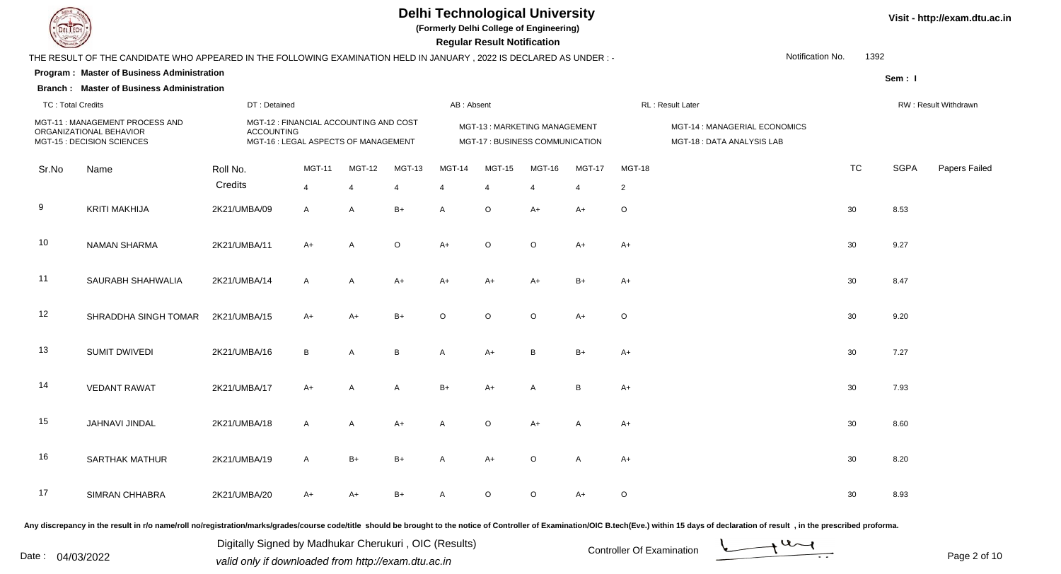

**(Formerly Delhi College of Engineering)**

 **Regular Result Notification**

| <b>Command</b>           |                                                                                                                     |              |                                                                                                     |                |                |         |            | Regular Result Notification |                                                                 |                |                |                                                            |           |             |                      |
|--------------------------|---------------------------------------------------------------------------------------------------------------------|--------------|-----------------------------------------------------------------------------------------------------|----------------|----------------|---------|------------|-----------------------------|-----------------------------------------------------------------|----------------|----------------|------------------------------------------------------------|-----------|-------------|----------------------|
|                          | THE RESULT OF THE CANDIDATE WHO APPEARED IN THE FOLLOWING EXAMINATION HELD IN JANUARY, 2022 IS DECLARED AS UNDER :- |              |                                                                                                     |                |                |         |            |                             |                                                                 |                |                | Notification No.                                           | 1392      |             |                      |
|                          | Program: Master of Business Administration                                                                          |              |                                                                                                     |                |                |         |            |                             |                                                                 |                |                |                                                            |           | Sem: I      |                      |
|                          | <b>Branch: Master of Business Administration</b>                                                                    |              |                                                                                                     |                |                |         |            |                             |                                                                 |                |                |                                                            |           |             |                      |
| <b>TC: Total Credits</b> |                                                                                                                     |              | DT: Detained                                                                                        |                |                |         | AB: Absent |                             |                                                                 |                |                | RL: Result Later                                           |           |             | RW: Result Withdrawn |
|                          | MGT-11: MANAGEMENT PROCESS AND<br>ORGANIZATIONAL BEHAVIOR<br>MGT-15 : DECISION SCIENCES                             |              | MGT-12 : FINANCIAL ACCOUNTING AND COST<br><b>ACCOUNTING</b><br>MGT-16 : LEGAL ASPECTS OF MANAGEMENT |                |                |         |            |                             | MGT-13: MARKETING MANAGEMENT<br>MGT-17 : BUSINESS COMMUNICATION |                |                | MGT-14 : MANAGERIAL ECONOMICS<br>MGT-18: DATA ANALYSIS LAB |           |             |                      |
| Sr.No                    | Name                                                                                                                | Roll No.     |                                                                                                     | <b>MGT-11</b>  | <b>MGT-12</b>  | MGT-13  | MGT-14     | <b>MGT-15</b>               | <b>MGT-16</b>                                                   | <b>MGT-17</b>  | MGT-18         |                                                            | <b>TC</b> | <b>SGPA</b> | Papers Failed        |
|                          |                                                                                                                     | Credits      |                                                                                                     | $\overline{4}$ | 4              | 4       |            | $\overline{4}$              | Δ                                                               | $\overline{4}$ | $\overline{2}$ |                                                            |           |             |                      |
| 9                        | <b>KRITI MAKHIJA</b>                                                                                                | 2K21/UMBA/09 |                                                                                                     | $\mathsf{A}$   | A              | $B+$    | A          | $\circ$                     | A+                                                              | A+             | $\circ$        |                                                            | 30        | 8.53        |                      |
| 10                       | <b>NAMAN SHARMA</b>                                                                                                 | 2K21/UMBA/11 |                                                                                                     | $A+$           | $\overline{A}$ | $\circ$ | $A+$       | $\circ$                     | $\circ$                                                         | $A+$           | A+             |                                                            | 30        | 9.27        |                      |
| 11                       | SAURABH SHAHWALIA                                                                                                   | 2K21/UMBA/14 |                                                                                                     | $\mathsf{A}$   | $\overline{A}$ | $A+$    | A+         | $A+$                        | $A+$                                                            | $B+$           | $A+$           |                                                            | 30        | 8.47        |                      |
| 12                       | SHRADDHA SINGH TOMAR                                                                                                | 2K21/UMBA/15 |                                                                                                     | $A+$           | $A+$           | $B+$    | O          | $\circ$                     | $\circ$                                                         | $A+$           | $\circ$        |                                                            | 30        | 9.20        |                      |
| 13                       | <b>SUMIT DWIVEDI</b>                                                                                                | 2K21/UMBA/16 |                                                                                                     | B              | Α              | B       | A          | $A+$                        | B                                                               | $B+$           | $A+$           |                                                            | 30        | 7.27        |                      |
| 14                       | <b>VEDANT RAWAT</b>                                                                                                 | 2K21/UMBA/17 |                                                                                                     | $A+$           | A              | A       | $B+$       | $A+$                        | A                                                               | B              | $A+$           |                                                            | 30        | 7.93        |                      |
| 15                       | JAHNAVI JINDAL                                                                                                      | 2K21/UMBA/18 |                                                                                                     | A              | $\overline{A}$ | $A+$    | A          | O                           | $A+$                                                            | A              | $A+$           |                                                            | 30        | 8.60        |                      |
| 16                       | <b>SARTHAK MATHUR</b>                                                                                               | 2K21/UMBA/19 |                                                                                                     | $\overline{A}$ | $B+$           | $B+$    | A          | $A+$                        | $\circ$                                                         | Α              | $A+$           |                                                            | 30        | 8.20        |                      |
| 17                       | <b>SIMRAN CHHABRA</b>                                                                                               | 2K21/UMBA/20 |                                                                                                     | A+             | A+             | $B+$    | A          | O                           | $\circ$                                                         | $A+$           | $\circ$        |                                                            | 30        | 8.93        |                      |
|                          |                                                                                                                     |              |                                                                                                     |                |                |         |            |                             |                                                                 |                |                |                                                            |           |             |                      |

Any discrepancy in the result in r/o name/roll no/registration/marks/grades/course code/title should be brought to the notice of Controller of Examination/OIC B.tech(Eve.) within 15 days of declaration of result, in the pr

Date : 04/03/2022 valid only if downloaded from http://exam.dtu.ac.in<br>valid only if downloaded from http://exam.dtu.ac.in Digitally Signed by Madhukar Cherukuri , OIC (Results)

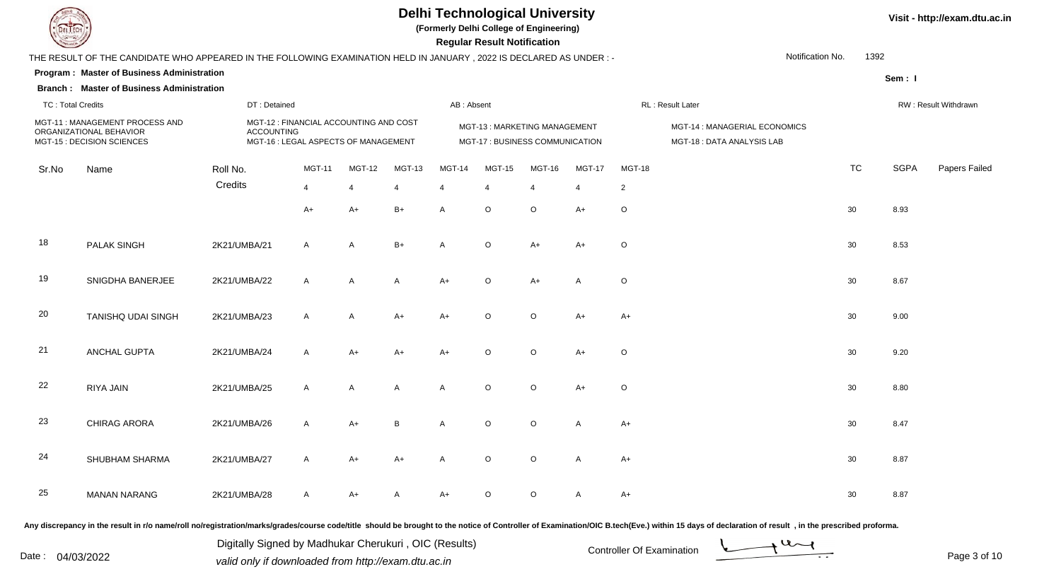

**(Formerly Delhi College of Engineering)**

 **Regular Result Notification**

| <b>Course Legal District Land</b> |                                                                                                                     |              |                                                                                                     |                |               |              | Regular Result Notification                                     |                |                |                |                                                            |           |             |                      |
|-----------------------------------|---------------------------------------------------------------------------------------------------------------------|--------------|-----------------------------------------------------------------------------------------------------|----------------|---------------|--------------|-----------------------------------------------------------------|----------------|----------------|----------------|------------------------------------------------------------|-----------|-------------|----------------------|
|                                   | THE RESULT OF THE CANDIDATE WHO APPEARED IN THE FOLLOWING EXAMINATION HELD IN JANUARY, 2022 IS DECLARED AS UNDER :- |              |                                                                                                     |                |               |              |                                                                 |                |                |                | Notification No.                                           | 1392      |             |                      |
|                                   | Program: Master of Business Administration                                                                          |              |                                                                                                     |                |               |              |                                                                 |                |                |                |                                                            |           | Sem: I      |                      |
|                                   | <b>Branch: Master of Business Administration</b>                                                                    |              |                                                                                                     |                |               |              |                                                                 |                |                |                |                                                            |           |             |                      |
| <b>TC: Total Credits</b>          |                                                                                                                     |              | DT: Detained                                                                                        |                |               | AB: Absent   |                                                                 |                |                |                | RL : Result Later                                          |           |             | RW: Result Withdrawn |
|                                   | MGT-11: MANAGEMENT PROCESS AND<br>ORGANIZATIONAL BEHAVIOR<br>MGT-15 : DECISION SCIENCES                             |              | MGT-12 : FINANCIAL ACCOUNTING AND COST<br><b>ACCOUNTING</b><br>MGT-16 : LEGAL ASPECTS OF MANAGEMENT |                |               |              | MGT-13: MARKETING MANAGEMENT<br>MGT-17 : BUSINESS COMMUNICATION |                |                |                | MGT-14 : MANAGERIAL ECONOMICS<br>MGT-18: DATA ANALYSIS LAB |           |             |                      |
| Sr.No                             | Name                                                                                                                | Roll No.     | <b>MGT-11</b>                                                                                       | <b>MGT-12</b>  | <b>MGT-13</b> | MGT-14       | <b>MGT-15</b>                                                   | <b>MGT-16</b>  | <b>MGT-17</b>  | <b>MGT-18</b>  |                                                            | <b>TC</b> | <b>SGPA</b> | Papers Failed        |
|                                   |                                                                                                                     | Credits      | $\overline{4}$                                                                                      | $\overline{4}$ | 4             | 4            | 4                                                               | $\overline{4}$ | $\overline{4}$ | $\overline{2}$ |                                                            |           |             |                      |
|                                   |                                                                                                                     |              | $A+$                                                                                                | $A+$           | $B+$          | A            | $\circ$                                                         | $\circ$        | $A+$           | O              |                                                            | 30        | 8.93        |                      |
| 18                                | PALAK SINGH                                                                                                         | 2K21/UMBA/21 | $\mathsf{A}$                                                                                        | $\mathsf{A}$   | $B+$          | $\mathsf{A}$ | $\circ$                                                         | $A+$           | $A+$           | $\circ$        |                                                            | 30        | 8.53        |                      |
| 19                                | SNIGDHA BANERJEE                                                                                                    | 2K21/UMBA/22 | A                                                                                                   | A              | $\mathsf{A}$  | $A+$         | $\circ$                                                         | $A+$           | A              | O              |                                                            | 30        | 8.67        |                      |
| 20                                | <b>TANISHQ UDAI SINGH</b>                                                                                           | 2K21/UMBA/23 | $\mathsf{A}$                                                                                        | A              | $A+$          | $A+$         | $\circ$                                                         | O              | $A+$           | $A+$           |                                                            | 30        | 9.00        |                      |
| 21                                | ANCHAL GUPTA                                                                                                        | 2K21/UMBA/24 | A                                                                                                   | $A+$           | $A+$          | $A+$         | $\circ$                                                         | $\circ$        | $A+$           | $\circ$        |                                                            | 30        | 9.20        |                      |
| 22                                | RIYA JAIN                                                                                                           | 2K21/UMBA/25 | A                                                                                                   | $\mathsf{A}$   | A             | $\mathsf{A}$ | $\circ$                                                         | $\circ$        | $A+$           | O              |                                                            | 30        | 8.80        |                      |
| 23                                | <b>CHIRAG ARORA</b>                                                                                                 | 2K21/UMBA/26 | A                                                                                                   | A+             | $\, {\bf B}$  | A            | $\circ$                                                         | $\circ$        | A              | A+             |                                                            | 30        | 8.47        |                      |
| 24                                | SHUBHAM SHARMA                                                                                                      | 2K21/UMBA/27 | $\mathsf{A}$                                                                                        | $A+$           | $A+$          | A            | $\circ$                                                         | $\circ$        | A              | $A+$           |                                                            | 30        | 8.87        |                      |
| 25                                | <b>MANAN NARANG</b>                                                                                                 | 2K21/UMBA/28 | $\mathsf{A}$                                                                                        | A+             | A             | $A+$         | $\circ$                                                         | $\circ$        | A              | A+             |                                                            | 30        | 8.87        |                      |
|                                   |                                                                                                                     |              |                                                                                                     |                |               |              |                                                                 |                |                |                |                                                            |           |             |                      |

Any discrepancy in the result in r/o name/roll no/registration/marks/grades/course code/title should be brought to the notice of Controller of Examination/OIC B.tech(Eve.) within 15 days of declaration of result, in the pr

Date : 04/03/2022 valid only if downloaded from http://exam.dtu.ac.in<br>valid only if downloaded from http://exam.dtu.ac.in Digitally Signed by Madhukar Cherukuri , OIC (Results)

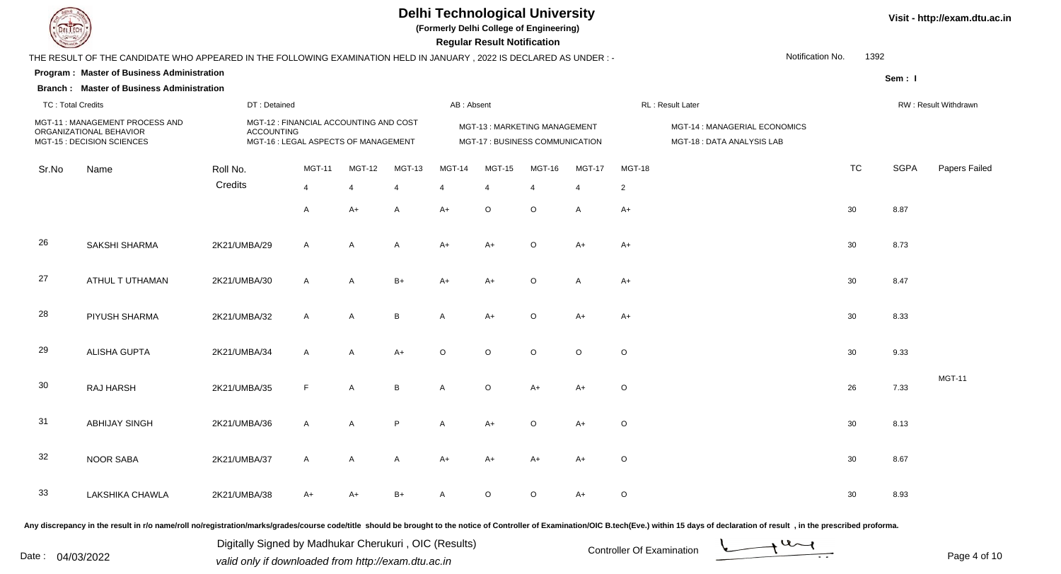

**(Formerly Delhi College of Engineering)**

 **Regular Result Notification**

| <b>Course Line</b>       |                                                                                                                     |              |                                                                                                     |                |               |               |                | Regular Result Notification                                            |               |                |                |                                                            |                          |             |                      |
|--------------------------|---------------------------------------------------------------------------------------------------------------------|--------------|-----------------------------------------------------------------------------------------------------|----------------|---------------|---------------|----------------|------------------------------------------------------------------------|---------------|----------------|----------------|------------------------------------------------------------|--------------------------|-------------|----------------------|
|                          | THE RESULT OF THE CANDIDATE WHO APPEARED IN THE FOLLOWING EXAMINATION HELD IN JANUARY, 2022 IS DECLARED AS UNDER :- |              |                                                                                                     |                |               |               |                |                                                                        |               |                |                |                                                            | Notification No.<br>1392 |             |                      |
|                          | <b>Program: Master of Business Administration</b>                                                                   |              |                                                                                                     |                |               |               |                |                                                                        |               |                |                |                                                            |                          | Sem: I      |                      |
|                          | <b>Branch: Master of Business Administration</b>                                                                    |              |                                                                                                     |                |               |               |                |                                                                        |               |                |                |                                                            |                          |             |                      |
| <b>TC: Total Credits</b> |                                                                                                                     |              | DT: Detained                                                                                        |                |               |               | AB: Absent     |                                                                        |               |                |                | RL: Result Later                                           |                          |             | RW: Result Withdrawn |
|                          | MGT-11: MANAGEMENT PROCESS AND<br>ORGANIZATIONAL BEHAVIOR<br>MGT-15 : DECISION SCIENCES                             |              | MGT-12 : FINANCIAL ACCOUNTING AND COST<br><b>ACCOUNTING</b><br>MGT-16 : LEGAL ASPECTS OF MANAGEMENT |                |               |               |                | <b>MGT-13: MARKETING MANAGEMENT</b><br>MGT-17 : BUSINESS COMMUNICATION |               |                |                | MGT-14 : MANAGERIAL ECONOMICS<br>MGT-18: DATA ANALYSIS LAB |                          |             |                      |
| Sr.No                    | Name                                                                                                                | Roll No.     |                                                                                                     | <b>MGT-11</b>  | <b>MGT-12</b> | <b>MGT-13</b> | <b>MGT-14</b>  | <b>MGT-15</b>                                                          | <b>MGT-16</b> | <b>MGT-17</b>  | <b>MGT-18</b>  |                                                            | <b>TC</b>                | <b>SGPA</b> | Papers Failed        |
|                          |                                                                                                                     | Credits      |                                                                                                     | $\overline{4}$ | 4             | 4             | $\overline{4}$ | $\overline{4}$                                                         | 4             | $\overline{4}$ | $\overline{2}$ |                                                            |                          |             |                      |
|                          |                                                                                                                     |              |                                                                                                     | $\overline{A}$ | $A+$          | A             | $A+$           | $\circ$                                                                | $\circ$       | $\overline{A}$ | $A+$           |                                                            | 30                       | 8.87        |                      |
| 26                       | SAKSHI SHARMA                                                                                                       | 2K21/UMBA/29 |                                                                                                     | $\mathsf{A}$   | A             | A             | $A+$           | $A+$                                                                   | $\circ$       | $A+$           | $A+$           |                                                            | 30                       | 8.73        |                      |
| 27                       | ATHUL T UTHAMAN                                                                                                     | 2K21/UMBA/30 |                                                                                                     | $\mathsf{A}$   | $\mathsf{A}$  | $B+$          | A+             | $A+$                                                                   | $\circ$       | $\mathsf{A}$   | $A+$           |                                                            | 30                       | 8.47        |                      |
| 28                       | PIYUSH SHARMA                                                                                                       | 2K21/UMBA/32 |                                                                                                     | $\mathsf{A}$   | A             | B             | A              | A+                                                                     | $\circ$       | $A+$           | $A+$           |                                                            | 30                       | 8.33        |                      |
| 29                       | <b>ALISHA GUPTA</b>                                                                                                 | 2K21/UMBA/34 |                                                                                                     | $\mathsf{A}$   | A             | $A+$          | O              | $\circ$                                                                | $\circ$       | $\circ$        | $\circ$        |                                                            | 30                       | 9.33        |                      |
| 30                       | RAJ HARSH                                                                                                           | 2K21/UMBA/35 |                                                                                                     | $\mathsf F$    | A             | B             | A              | O                                                                      | $A+$          | $A+$           | $\circ$        |                                                            | 26                       | 7.33        | <b>MGT-11</b>        |
| 31                       | <b>ABHIJAY SINGH</b>                                                                                                | 2K21/UMBA/36 |                                                                                                     | $\mathsf{A}$   | A             | P             | A              | A+                                                                     | $\circ$       | $A+$           | $\circ$        |                                                            | 30                       | 8.13        |                      |
| 32                       | <b>NOOR SABA</b>                                                                                                    | 2K21/UMBA/37 |                                                                                                     | $\mathsf{A}$   | A             | A             | $A+$           | $A+$                                                                   | $A+$          | $A+$           | $\circ$        |                                                            | 30                       | 8.67        |                      |
| 33                       | LAKSHIKA CHAWLA                                                                                                     | 2K21/UMBA/38 |                                                                                                     | A+             | A+            | $B+$          | A              | $\circ$                                                                | $\circ$       | $A+$           | $\circ$        |                                                            | 30                       | 8.93        |                      |

Any discrepancy in the result in r/o name/roll no/registration/marks/grades/course code/title should be brought to the notice of Controller of Examination/OIC B.tech(Eve.) within 15 days of declaration of result, in the pr

Date : 04/03/2022 valid only if downloaded from http://exam.dtu.ac.in<br>
Date : 04/03/2022 valid only if downloaded from http://exam.dtu.ac.in

Digitally Signed by Madhukar Cherukuri , OIC (Results)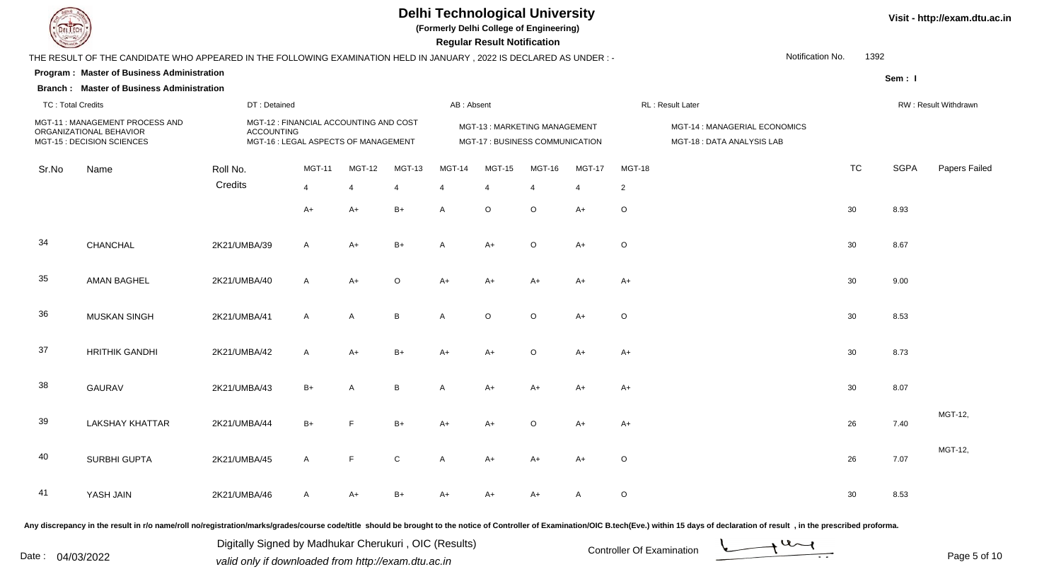

**(Formerly Delhi College of Engineering)**

 **Regular Result Notification**

| $\sim$                   |                                                                                                                     |              |                                                                                                     |               |                |                       | Regular Result Notification                                     |                       |                |                |                                                            |           |             |                      |
|--------------------------|---------------------------------------------------------------------------------------------------------------------|--------------|-----------------------------------------------------------------------------------------------------|---------------|----------------|-----------------------|-----------------------------------------------------------------|-----------------------|----------------|----------------|------------------------------------------------------------|-----------|-------------|----------------------|
|                          | THE RESULT OF THE CANDIDATE WHO APPEARED IN THE FOLLOWING EXAMINATION HELD IN JANUARY, 2022 IS DECLARED AS UNDER :- |              |                                                                                                     |               |                |                       |                                                                 |                       |                |                | Notification No.                                           | 1392      |             |                      |
|                          | Program: Master of Business Administration<br><b>Branch: Master of Business Administration</b>                      |              |                                                                                                     |               |                |                       |                                                                 |                       |                |                |                                                            |           | Sem: I      |                      |
| <b>TC: Total Credits</b> |                                                                                                                     |              | DT: Detained                                                                                        |               |                | AB: Absent            |                                                                 |                       |                |                | RL: Result Later                                           |           |             | RW: Result Withdrawn |
|                          | MGT-11: MANAGEMENT PROCESS AND<br>ORGANIZATIONAL BEHAVIOR<br>MGT-15 : DECISION SCIENCES                             |              | MGT-12 : FINANCIAL ACCOUNTING AND COST<br><b>ACCOUNTING</b><br>MGT-16 : LEGAL ASPECTS OF MANAGEMENT |               |                |                       | MGT-13: MARKETING MANAGEMENT<br>MGT-17 : BUSINESS COMMUNICATION |                       |                |                | MGT-14 : MANAGERIAL ECONOMICS<br>MGT-18: DATA ANALYSIS LAB |           |             |                      |
| Sr.No                    | Name                                                                                                                | Roll No.     | <b>MGT-11</b>                                                                                       | <b>MGT-12</b> | <b>MGT-13</b>  | <b>MGT-14</b>         | <b>MGT-15</b>                                                   | <b>MGT-16</b>         | <b>MGT-17</b>  | <b>MGT-18</b>  |                                                            | <b>TC</b> | <b>SGPA</b> | Papers Failed        |
|                          |                                                                                                                     | Credits      | $\overline{4}$                                                                                      | 4             | $\overline{4}$ | $\boldsymbol{\Delta}$ | 4                                                               | $\boldsymbol{\Delta}$ | $\overline{4}$ | $\overline{c}$ |                                                            |           |             |                      |
|                          |                                                                                                                     |              | $A+$                                                                                                | A+            | $B+$           | A                     | O                                                               | $\circ$               | $A+$           | $\circ$        |                                                            | 30        | 8.93        |                      |
| 34                       | CHANCHAL                                                                                                            | 2K21/UMBA/39 | $\mathsf{A}$                                                                                        | $A+$          | $B+$           | $\mathsf{A}$          | $A+$                                                            | $\circ$               | $A+$           | $\circ$        |                                                            | 30        | 8.67        |                      |
| 35                       | <b>AMAN BAGHEL</b>                                                                                                  | 2K21/UMBA/40 | $\mathsf{A}$                                                                                        | $A+$          | $\mathsf O$    | A+                    | A+                                                              | $A+$                  | $A+$           | $A+$           |                                                            | 30        | 9.00        |                      |
| 36                       | <b>MUSKAN SINGH</b>                                                                                                 | 2K21/UMBA/41 | $\mathsf{A}$                                                                                        | A             | В              | A                     | $\circ$                                                         | $\circ$               | $A+$           | $\circ$        |                                                            | 30        | 8.53        |                      |
| 37                       | <b>HRITHIK GANDHI</b>                                                                                               | 2K21/UMBA/42 | $\mathsf{A}$                                                                                        | A+            | $B+$           | A+                    | $A+$                                                            | $\circ$               | $A+$           | $A+$           |                                                            | 30        | 8.73        |                      |
| 38                       | <b>GAURAV</b>                                                                                                       | 2K21/UMBA/43 | $B+$                                                                                                | A             | В              | A                     | $A+$                                                            | $A+$                  | $A+$           | $A+$           |                                                            | 30        | 8.07        |                      |
| 39                       | <b>LAKSHAY KHATTAR</b>                                                                                              | 2K21/UMBA/44 | $B+$                                                                                                | F             | $B+$           | $A+$                  | A+                                                              | $\circ$               | $A+$           | $A+$           |                                                            | 26        | 7.40        | MGT-12,              |
| 40                       | SURBHI GUPTA                                                                                                        | 2K21/UMBA/45 | $\mathsf{A}$                                                                                        | F             | $\mathbf C$    | A                     | $A+$                                                            | $A+$                  | $A+$           | $\circ$        |                                                            | 26        | 7.07        | MGT-12,              |
| 41                       | YASH JAIN                                                                                                           | 2K21/UMBA/46 | $\mathsf{A}$                                                                                        | A+            | $B+$           | A+                    | A+                                                              | $A+$                  | $\overline{A}$ | $\circ$        |                                                            | 30        | 8.53        |                      |
|                          |                                                                                                                     |              |                                                                                                     |               |                |                       |                                                                 |                       |                |                |                                                            |           |             |                      |

Any discrepancy in the result in r/o name/roll no/registration/marks/grades/course code/title should be brought to the notice of Controller of Examination/OIC B.tech(Eve.) within 15 days of declaration of result, in the pr

Date : 04/03/2022 valid only if downloaded from http://exam.dtu.ac.in<br>
Date : 04/03/2022 valid only if downloaded from http://exam.dtu.ac.in

Digitally Signed by Madhukar Cherukuri , OIC (Results)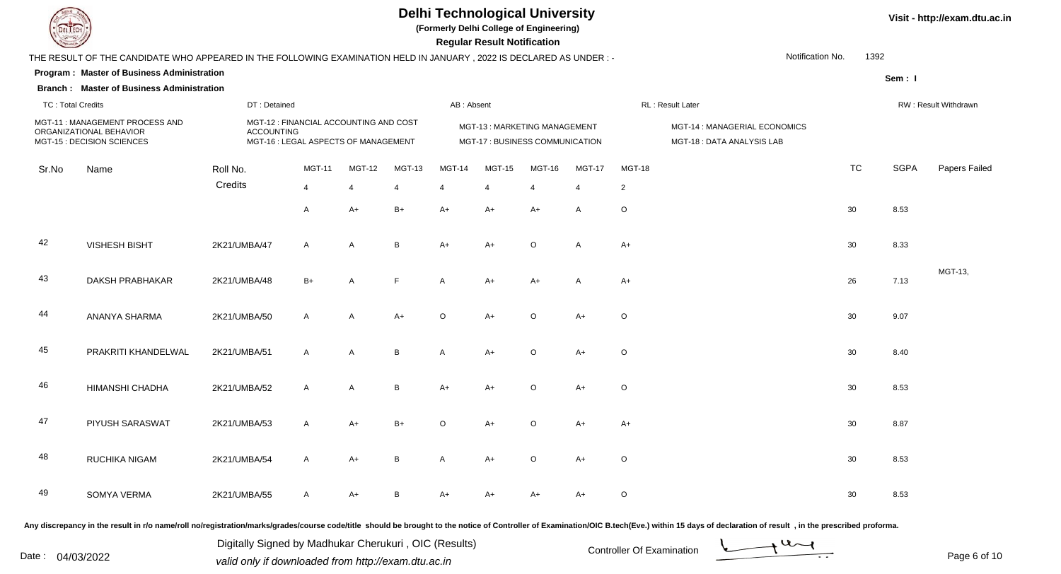

**(Formerly Delhi College of Engineering)**

 **Regular Result Notification**

| $\sim$                   |                                                                                                                     |                   |                                                                                |                          |                |               | Regular Result Notification                                     |                         |                |                |                                                            |           |             |                      |
|--------------------------|---------------------------------------------------------------------------------------------------------------------|-------------------|--------------------------------------------------------------------------------|--------------------------|----------------|---------------|-----------------------------------------------------------------|-------------------------|----------------|----------------|------------------------------------------------------------|-----------|-------------|----------------------|
|                          | THE RESULT OF THE CANDIDATE WHO APPEARED IN THE FOLLOWING EXAMINATION HELD IN JANUARY, 2022 IS DECLARED AS UNDER :- |                   |                                                                                |                          |                |               |                                                                 |                         |                |                | Notification No.                                           | 1392      |             |                      |
|                          | Program: Master of Business Administration<br><b>Branch: Master of Business Administration</b>                      |                   |                                                                                |                          |                |               |                                                                 |                         |                |                |                                                            |           | Sem: I      |                      |
| <b>TC: Total Credits</b> |                                                                                                                     | DT: Detained      |                                                                                |                          |                | AB: Absent    |                                                                 |                         |                |                | RL: Result Later                                           |           |             | RW: Result Withdrawn |
|                          | MGT-11: MANAGEMENT PROCESS AND<br>ORGANIZATIONAL BEHAVIOR<br>MGT-15 : DECISION SCIENCES                             | <b>ACCOUNTING</b> | MGT-12 : FINANCIAL ACCOUNTING AND COST<br>MGT-16 : LEGAL ASPECTS OF MANAGEMENT |                          |                |               | MGT-13: MARKETING MANAGEMENT<br>MGT-17 : BUSINESS COMMUNICATION |                         |                |                | MGT-14 : MANAGERIAL ECONOMICS<br>MGT-18: DATA ANALYSIS LAB |           |             |                      |
| Sr.No                    | Name                                                                                                                | Roll No.          | <b>MGT-11</b>                                                                  | <b>MGT-12</b>            | <b>MGT-13</b>  | <b>MGT-14</b> | <b>MGT-15</b>                                                   | <b>MGT-16</b>           | <b>MGT-17</b>  | <b>MGT-18</b>  |                                                            | <b>TC</b> | <b>SGPA</b> | Papers Failec        |
|                          |                                                                                                                     | Credits           | $\overline{4}$                                                                 | $\overline{\mathcal{A}}$ | $\overline{4}$ | 4             | $\overline{4}$                                                  | $\overline{\mathbf{4}}$ | $\overline{4}$ | $\overline{2}$ |                                                            |           |             |                      |
|                          |                                                                                                                     |                   | $\mathsf{A}$                                                                   | $A+$                     | $B+$           | $A+$          | $A+$                                                            | $A+$                    | Α              | $\mathsf O$    |                                                            | 30        | 8.53        |                      |
| 42                       | <b>VISHESH BISHT</b>                                                                                                | 2K21/UMBA/47      | $\mathsf{A}$                                                                   | $\mathsf{A}$             | B              | $A+$          | $A+$                                                            | $\circ$                 | $\overline{A}$ | $A+$           |                                                            | 30        | 8.33        |                      |
| 43                       | <b>DAKSH PRABHAKAR</b>                                                                                              | 2K21/UMBA/48      | $B+$                                                                           | A                        | F              | A             | A+                                                              | $A+$                    | A              | $A+$           |                                                            | 26        | 7.13        | MGT-13,              |
| 44                       | ANANYA SHARMA                                                                                                       | 2K21/UMBA/50      | $\mathsf{A}$                                                                   | A                        | $A+$           | O             | $A+$                                                            | $\circ$                 | $A+$           | $\circ$        |                                                            | 30        | 9.07        |                      |
| 45                       | PRAKRITI KHANDELWAL                                                                                                 | 2K21/UMBA/51      | $\mathsf{A}$                                                                   | A                        | В              | Α             | A+                                                              | $\circ$                 | $A+$           | $\circ$        |                                                            | 30        | 8.40        |                      |
| 46                       | HIMANSHI CHADHA                                                                                                     | 2K21/UMBA/52      | $\mathsf{A}$                                                                   | A                        | B              | $A+$          | $A+$                                                            | $\circ$                 | $A+$           | $\mathsf O$    |                                                            | 30        | 8.53        |                      |
| 47                       | PIYUSH SARASWAT                                                                                                     | 2K21/UMBA/53      | $\mathsf{A}$                                                                   | $A+$                     | $B+$           | $\circ$       | A+                                                              | $\circ$                 | $A+$           | $A+$           |                                                            | 30        | 8.87        |                      |
| 48                       | RUCHIKA NIGAM                                                                                                       | 2K21/UMBA/54      | $\mathsf{A}$                                                                   | $A+$                     | B              | Α             | A+                                                              | $\circ$                 | $A+$           | $\circ$        |                                                            | 30        | 8.53        |                      |
| 49                       | SOMYA VERMA                                                                                                         | 2K21/UMBA/55      | $\mathsf{A}$                                                                   | $A+$                     | B              | $A+$          | A+                                                              | $A+$                    | $A+$           | $\circ$        |                                                            | 30        | 8.53        |                      |
|                          |                                                                                                                     |                   |                                                                                |                          |                |               |                                                                 |                         |                |                |                                                            |           |             |                      |

Any discrepancy in the result in r/o name/roll no/registration/marks/grades/course code/title should be brought to the notice of Controller of Examination/OIC B.tech(Eve.) within 15 days of declaration of result, in the pr

Date : 04/03/2022 valid only if downloaded from http://exam.dtu.ac.in<br>
Date : 04/03/2022 valid only if downloaded from http://exam.dtu.ac.in

Digitally Signed by Madhukar Cherukuri , OIC (Results)

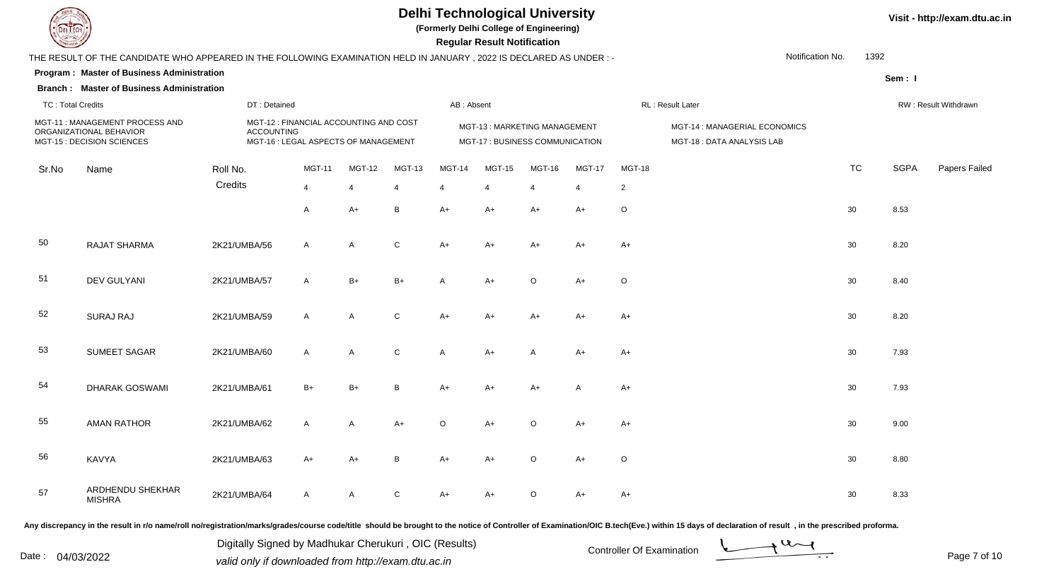

**(Formerly Delhi College of Engineering)**

 **Regular Result Notification**

| <b>County</b>            |                                                                                                                     |              |                                                                                              |               |             |               | <b>Regular Result Notification</b>                                     |         |                |                |                                                            |           |             |                      |
|--------------------------|---------------------------------------------------------------------------------------------------------------------|--------------|----------------------------------------------------------------------------------------------|---------------|-------------|---------------|------------------------------------------------------------------------|---------|----------------|----------------|------------------------------------------------------------|-----------|-------------|----------------------|
|                          | THE RESULT OF THE CANDIDATE WHO APPEARED IN THE FOLLOWING EXAMINATION HELD IN JANUARY, 2022 IS DECLARED AS UNDER :- |              |                                                                                              |               |             |               |                                                                        |         |                |                | Notification No.                                           | 1392      |             |                      |
|                          | Program: Master of Business Administration                                                                          |              |                                                                                              |               |             |               |                                                                        |         |                |                |                                                            |           | Sem: I      |                      |
|                          | <b>Branch: Master of Business Administration</b>                                                                    |              |                                                                                              |               |             |               |                                                                        |         |                |                |                                                            |           |             |                      |
| <b>TC: Total Credits</b> |                                                                                                                     |              | DT: Detained                                                                                 |               |             | AB: Absent    |                                                                        |         |                |                | RL: Result Later                                           |           |             | RW: Result Withdrawn |
|                          | MGT-11: MANAGEMENT PROCESS AND<br>ORGANIZATIONAL BEHAVIOR<br>MGT-15 : DECISION SCIENCES                             |              | MGT-12 : FINANCIAL ACCOUNTING AND COST<br>ACCOUNTING<br>MGT-16 : LEGAL ASPECTS OF MANAGEMENT |               |             |               | <b>MGT-13: MARKETING MANAGEMENT</b><br>MGT-17 : BUSINESS COMMUNICATION |         |                |                | MGT-14 : MANAGERIAL ECONOMICS<br>MGT-18: DATA ANALYSIS LAB |           |             |                      |
| Sr.No                    | Name                                                                                                                | Roll No.     | <b>MGT-11</b>                                                                                | <b>MGT-12</b> | MGT-13      | <b>MGT-14</b> | <b>MGT-15</b>                                                          | MGT-16  | <b>MGT-17</b>  | <b>MGT-18</b>  |                                                            | <b>TC</b> | <b>SGPA</b> | Papers Failed        |
|                          |                                                                                                                     | Credits      | 4                                                                                            | 4             | 4           |               | $\overline{4}$                                                         | 4       | $\overline{4}$ | $\overline{2}$ |                                                            |           |             |                      |
|                          |                                                                                                                     |              | A                                                                                            | $A+$          | B           | $A+$          | $A+$                                                                   | $A+$    | $A+$           | $\circ$        |                                                            | 30        | 8.53        |                      |
| 50                       | <b>RAJAT SHARMA</b>                                                                                                 | 2K21/UMBA/56 | A                                                                                            | A             | $\mathsf C$ | $A+$          | $A+$                                                                   | A+      | $A+$           | $A+$           |                                                            | 30        | 8.20        |                      |
| 51                       | <b>DEV GULYANI</b>                                                                                                  | 2K21/UMBA/57 | A                                                                                            | $B+$          | $B+$        | A             | $A+$                                                                   | $\circ$ | $A+$           | $\circ$        |                                                            | 30        | 8.40        |                      |
| 52                       | <b>SURAJ RAJ</b>                                                                                                    | 2K21/UMBA/59 | A                                                                                            | A             | $\mathsf C$ | $A+$          | $A+$                                                                   | $A+$    | $A+$           | $A+$           |                                                            | 30        | 8.20        |                      |
| 53                       | <b>SUMEET SAGAR</b>                                                                                                 | 2K21/UMBA/60 | $\mathsf{A}$                                                                                 | A             | ${\bf C}$   | A             | $A+$                                                                   | A       | $A+$           | $A+$           |                                                            | 30        | 7.93        |                      |
| 54                       | <b>DHARAK GOSWAMI</b>                                                                                               | 2K21/UMBA/61 | $B+$                                                                                         | $B+$          | B           | $A+$          | $A+$                                                                   | $A+$    | $\overline{A}$ | $A+$           |                                                            | 30        | 7.93        |                      |
| 55                       | <b>AMAN RATHOR</b>                                                                                                  | 2K21/UMBA/62 | A                                                                                            | A             | $A+$        | $\circ$       | $A+$                                                                   | $\circ$ | $A+$           | $A+$           |                                                            | 30        | 9.00        |                      |
| 56                       | KAVYA                                                                                                               | 2K21/UMBA/63 | $A+$                                                                                         | $A+$          | B           | $A+$          | $A+$                                                                   | $\circ$ | $A+$           | $\circ$        |                                                            | 30        | 8.80        |                      |
| 57                       | ARDHENDU SHEKHAR<br><b>MISHRA</b>                                                                                   | 2K21/UMBA/64 | A                                                                                            | A             | C           | A+            | $A+$                                                                   | $\circ$ | A+             | A+             |                                                            | 30        | 8.33        |                      |

Any discrepancy in the result in r/o name/roll no/registration/marks/grades/course code/title should be brought to the notice of Controller of Examination/OIC B.tech(Eve.) within 15 days of declaration of result, in the pr

Date : 04/03/2022 valid only if downloaded from http://exam.dtu.ac.in<br>
Date : 04/03/2022 valid only if downloaded from http://exam.dtu.ac.in Digitally Signed by Madhukar Cherukuri , OIC (Results)

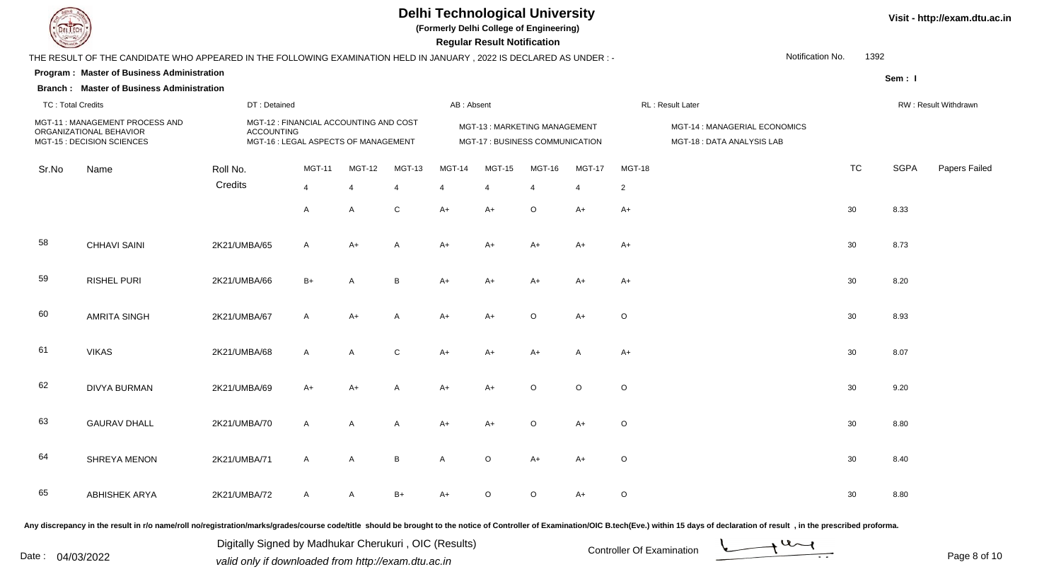

**(Formerly Delhi College of Engineering)**

 **Regular Result Notification**

| <b>Course Legal District Designation of the Course of the Course of the Course of the Course of the Course of the Course of the Course of the Course of The Course of The Course of The Course of The Course of The Course of Th</b> |                                                                                                                     |              |                                                                                                     |                |              |              |                | Regular Result Notification                                     |         |                |                |                                                            |           |             |                      |
|--------------------------------------------------------------------------------------------------------------------------------------------------------------------------------------------------------------------------------------|---------------------------------------------------------------------------------------------------------------------|--------------|-----------------------------------------------------------------------------------------------------|----------------|--------------|--------------|----------------|-----------------------------------------------------------------|---------|----------------|----------------|------------------------------------------------------------|-----------|-------------|----------------------|
|                                                                                                                                                                                                                                      | THE RESULT OF THE CANDIDATE WHO APPEARED IN THE FOLLOWING EXAMINATION HELD IN JANUARY, 2022 IS DECLARED AS UNDER :- |              |                                                                                                     |                |              |              |                |                                                                 |         |                |                | Notification No.                                           | 1392      |             |                      |
|                                                                                                                                                                                                                                      | <b>Program: Master of Business Administration</b>                                                                   |              |                                                                                                     |                |              |              |                |                                                                 |         |                |                |                                                            |           | Sem: I      |                      |
|                                                                                                                                                                                                                                      | <b>Branch: Master of Business Administration</b>                                                                    |              |                                                                                                     |                |              |              |                |                                                                 |         |                |                |                                                            |           |             |                      |
| <b>TC: Total Credits</b>                                                                                                                                                                                                             |                                                                                                                     |              | DT: Detained                                                                                        |                |              |              | AB: Absent     |                                                                 |         |                |                | RL: Result Later                                           |           |             | RW: Result Withdrawn |
|                                                                                                                                                                                                                                      | MGT-11: MANAGEMENT PROCESS AND<br>ORGANIZATIONAL BEHAVIOR<br>MGT-15 : DECISION SCIENCES                             |              | MGT-12 : FINANCIAL ACCOUNTING AND COST<br><b>ACCOUNTING</b><br>MGT-16 : LEGAL ASPECTS OF MANAGEMENT |                |              |              |                | MGT-13: MARKETING MANAGEMENT<br>MGT-17 : BUSINESS COMMUNICATION |         |                |                | MGT-14 : MANAGERIAL ECONOMICS<br>MGT-18: DATA ANALYSIS LAB |           |             |                      |
| Sr.No                                                                                                                                                                                                                                | Name                                                                                                                | Roll No.     |                                                                                                     | MGT-11         | MGT-12       | MGT-13       | MGT-14         | <b>MGT-15</b>                                                   | MGT-16  | <b>MGT-17</b>  | MGT-18         |                                                            | <b>TC</b> | <b>SGPA</b> | Papers Failed        |
|                                                                                                                                                                                                                                      |                                                                                                                     | Credits      |                                                                                                     | $\overline{4}$ | 4            | 4            | $\overline{4}$ | $\overline{4}$                                                  | 4       | $\overline{4}$ | $\overline{2}$ |                                                            |           |             |                      |
|                                                                                                                                                                                                                                      |                                                                                                                     |              |                                                                                                     | $\overline{A}$ | A            | $\mathbf C$  | $A+$           | $A+$                                                            | $\circ$ | $A+$           | $A+$           |                                                            | 30        | 8.33        |                      |
| 58                                                                                                                                                                                                                                   | <b>CHHAVI SAINI</b>                                                                                                 | 2K21/UMBA/65 |                                                                                                     | $\mathsf{A}$   | $A+$         | $\mathsf{A}$ | $A+$           | $A+$                                                            | $A+$    | $A+$           | $A+$           |                                                            | 30        | 8.73        |                      |
| 59                                                                                                                                                                                                                                   | <b>RISHEL PURI</b>                                                                                                  | 2K21/UMBA/66 |                                                                                                     | $B+$           | A            | B            | $A+$           | $A+$                                                            | $A+$    | $A+$           | $A+$           |                                                            | 30        | 8.20        |                      |
| 60                                                                                                                                                                                                                                   | <b>AMRITA SINGH</b>                                                                                                 | 2K21/UMBA/67 |                                                                                                     | $\mathsf{A}$   | $A+$         | A            | $A+$           | $A+$                                                            | $\circ$ | $A+$           | $\circ$        |                                                            | 30        | 8.93        |                      |
| -61                                                                                                                                                                                                                                  | <b>VIKAS</b>                                                                                                        | 2K21/UMBA/68 |                                                                                                     | $\mathsf{A}$   | A            | $\mathsf{C}$ | $A+$           | $A+$                                                            | $A+$    | A              | $A+$           |                                                            | 30        | 8.07        |                      |
| 62                                                                                                                                                                                                                                   | <b>DIVYA BURMAN</b>                                                                                                 | 2K21/UMBA/69 |                                                                                                     | $A+$           | A+           | A            | $A+$           | $A+$                                                            | $\circ$ | $\circ$        | $\circ$        |                                                            | 30        | 9.20        |                      |
| 63                                                                                                                                                                                                                                   | <b>GAURAV DHALL</b>                                                                                                 | 2K21/UMBA/70 |                                                                                                     | $\mathsf{A}$   | A            | A            | $A+$           | $A+$                                                            | $\circ$ | $A+$           | $\circ$        |                                                            | 30        | 8.80        |                      |
| 64                                                                                                                                                                                                                                   | SHREYA MENON                                                                                                        | 2K21/UMBA/71 |                                                                                                     | $\overline{A}$ | $\mathsf{A}$ | B            | A              | $\circ$                                                         | $A+$    | $A+$           | $\circ$        |                                                            | 30        | 8.40        |                      |
| 65                                                                                                                                                                                                                                   | <b>ABHISHEK ARYA</b>                                                                                                | 2K21/UMBA/72 |                                                                                                     | $\mathsf{A}$   | A            | $B+$         | $A+$           | $\circ$                                                         | $\circ$ | $A+$           | $\circ$        |                                                            | 30        | 8.80        |                      |

Any discrepancy in the result in r/o name/roll no/registration/marks/grades/course code/title should be brought to the notice of Controller of Examination/OIC B.tech(Eve.) within 15 days of declaration of result, in the pr

Date : 04/03/2022 valid only if downloaded from http://exam.dtu.ac.in<br>valid only if downloaded from http://exam.dtu.ac.in Digitally Signed by Madhukar Cherukuri , OIC (Results)

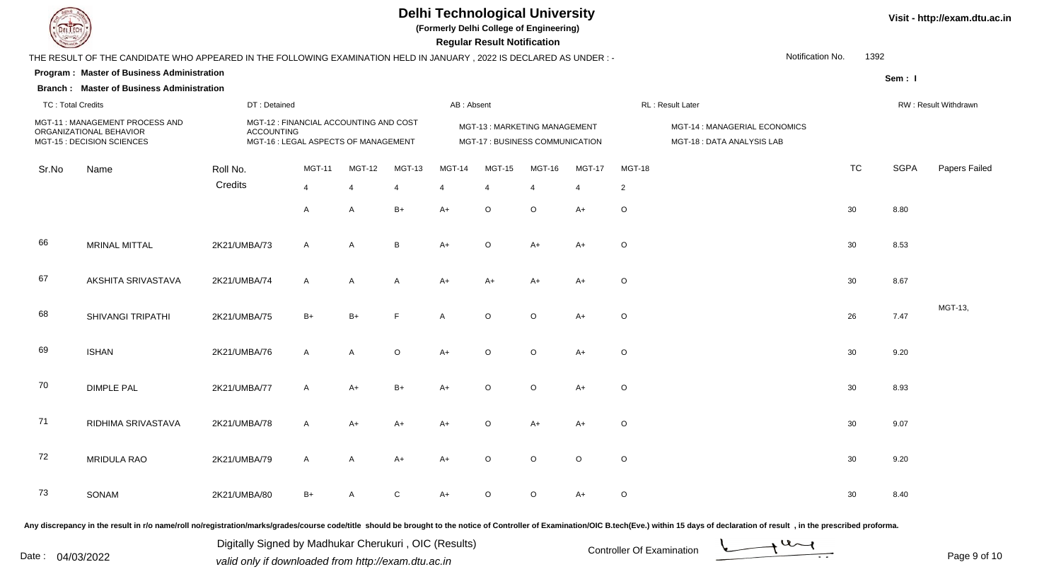

**(Formerly Delhi College of Engineering)**

 **Regular Result Notification**

| <b>Contract of the Contract of the Contract of The Contract of The Contract of The Contract of The Contract of The Contract of The Contract of The Contract of The Contract of The Contract of The Contract of The Contract of T</b> |                                                                                                                     |                   |                                                                                |                |                |               | Regular Result Notification                                     |                         |                |                |                                                            |                  |             |                      |
|--------------------------------------------------------------------------------------------------------------------------------------------------------------------------------------------------------------------------------------|---------------------------------------------------------------------------------------------------------------------|-------------------|--------------------------------------------------------------------------------|----------------|----------------|---------------|-----------------------------------------------------------------|-------------------------|----------------|----------------|------------------------------------------------------------|------------------|-------------|----------------------|
|                                                                                                                                                                                                                                      | THE RESULT OF THE CANDIDATE WHO APPEARED IN THE FOLLOWING EXAMINATION HELD IN JANUARY, 2022 IS DECLARED AS UNDER :- |                   |                                                                                |                |                |               |                                                                 |                         |                |                |                                                            | Notification No. | 1392        |                      |
|                                                                                                                                                                                                                                      | Program: Master of Business Administration                                                                          |                   |                                                                                |                |                |               |                                                                 |                         |                |                |                                                            |                  | Sem: I      |                      |
|                                                                                                                                                                                                                                      | <b>Branch: Master of Business Administration</b>                                                                    |                   |                                                                                |                |                |               |                                                                 |                         |                |                |                                                            |                  |             |                      |
| <b>TC: Total Credits</b>                                                                                                                                                                                                             |                                                                                                                     | DT: Detained      |                                                                                |                |                | AB: Absent    |                                                                 |                         |                |                | RL: Result Later                                           |                  |             | RW: Result Withdrawn |
|                                                                                                                                                                                                                                      | MGT-11: MANAGEMENT PROCESS AND<br>ORGANIZATIONAL BEHAVIOR<br>MGT-15 : DECISION SCIENCES                             | <b>ACCOUNTING</b> | MGT-12 : FINANCIAL ACCOUNTING AND COST<br>MGT-16 : LEGAL ASPECTS OF MANAGEMENT |                |                |               | MGT-13: MARKETING MANAGEMENT<br>MGT-17 : BUSINESS COMMUNICATION |                         |                |                | MGT-14 : MANAGERIAL ECONOMICS<br>MGT-18: DATA ANALYSIS LAB |                  |             |                      |
| Sr.No                                                                                                                                                                                                                                | Name                                                                                                                | Roll No.          | <b>MGT-11</b>                                                                  | <b>MGT-12</b>  | <b>MGT-13</b>  | <b>MGT-14</b> | <b>MGT-15</b>                                                   | <b>MGT-16</b>           | <b>MGT-17</b>  | <b>MGT-18</b>  |                                                            | <b>TC</b>        | <b>SGPA</b> | Papers Failed        |
|                                                                                                                                                                                                                                      |                                                                                                                     | Credits           | $\overline{4}$                                                                 | $\overline{4}$ | $\overline{4}$ | 4             | $\overline{4}$                                                  | $\overline{\mathbf{4}}$ | $\overline{4}$ | $\overline{2}$ |                                                            |                  |             |                      |
|                                                                                                                                                                                                                                      |                                                                                                                     |                   | A                                                                              | A              | $B+$           | $A+$          | $\circ$                                                         | $\circ$                 | $A+$           | $\mathsf O$    |                                                            | 30               | 8.80        |                      |
| 66                                                                                                                                                                                                                                   | MRINAL MITTAL                                                                                                       | 2K21/UMBA/73      | $\mathsf{A}$                                                                   | A              | B              | $A+$          | $\circ$                                                         | $A+$                    | $A+$           | $\circ$        |                                                            | 30               | 8.53        |                      |
| 67                                                                                                                                                                                                                                   | AKSHITA SRIVASTAVA                                                                                                  | 2K21/UMBA/74      | $\mathsf{A}$                                                                   | $\mathsf{A}$   | A              | $A+$          | $A+$                                                            | $A+$                    | $A+$           | $\circ$        |                                                            | 30               | 8.67        |                      |
| 68                                                                                                                                                                                                                                   | <b>SHIVANGI TRIPATHI</b>                                                                                            | 2K21/UMBA/75      | $B+$                                                                           | $B+$           | F              | Α             | $\circ$                                                         | $\circ$                 | $A+$           | $\circ$        |                                                            | 26               | 7.47        | MGT-13,              |
| 69                                                                                                                                                                                                                                   | <b>ISHAN</b>                                                                                                        | 2K21/UMBA/76      | $\mathsf{A}$                                                                   | A              | $\circ$        | $A+$          | $\circ$                                                         | $\circ$                 | $A+$           | $\circ$        |                                                            | 30               | 9.20        |                      |
| 70                                                                                                                                                                                                                                   | <b>DIMPLE PAL</b>                                                                                                   | 2K21/UMBA/77      | A                                                                              | $A+$           | $B+$           | $A+$          | $\circ$                                                         | $\circ$                 | $A+$           | $\mathsf O$    |                                                            | 30               | 8.93        |                      |
| 71                                                                                                                                                                                                                                   | RIDHIMA SRIVASTAVA                                                                                                  | 2K21/UMBA/78      | $\mathsf{A}$                                                                   | $A+$           | $A+$           | $A+$          | $\circ$                                                         | $A+$                    | $A+$           | $\circ$        |                                                            | 30               | 9.07        |                      |
| 72                                                                                                                                                                                                                                   | MRIDULA RAO                                                                                                         | 2K21/UMBA/79      | $\mathsf{A}$                                                                   | $\mathsf{A}$   | $A+$           | $A+$          | $\circ$                                                         | $\Omega$                | $\circ$        | $\circ$        |                                                            | 30               | 9.20        |                      |
| 73                                                                                                                                                                                                                                   | SONAM                                                                                                               | 2K21/UMBA/80      | $B+$                                                                           | А              | C              | $A+$          | $\circ$                                                         | $\circ$                 | $A+$           | $\circ$        |                                                            | 30               | 8.40        |                      |
|                                                                                                                                                                                                                                      |                                                                                                                     |                   |                                                                                |                |                |               |                                                                 |                         |                |                |                                                            |                  |             |                      |

Any discrepancy in the result in r/o name/roll no/registration/marks/grades/course code/title should be brought to the notice of Controller of Examination/OIC B.tech(Eve.) within 15 days of declaration of result, in the pr

Date : 04/03/2022 valid only if downloaded from http://exam.dtu.ac.in<br>
Date : 04/03/2022 valid only if downloaded from http://exam.dtu.ac.in Digitally Signed by Madhukar Cherukuri , OIC (Results)